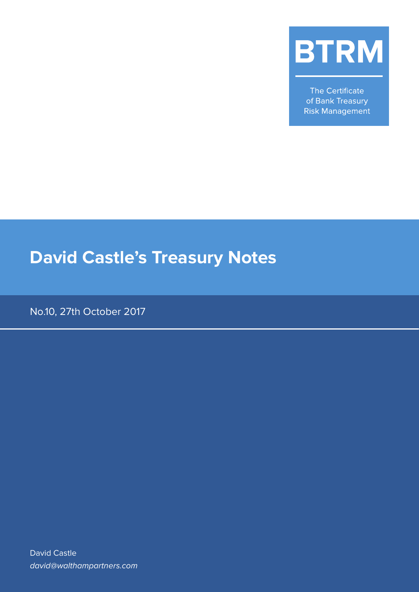

The Certificate of Bank Treasury **Risk Management** 

# **David Castle's Treasury Notes**

No.10, 27th October 2017

David Castle david@walthampartners.com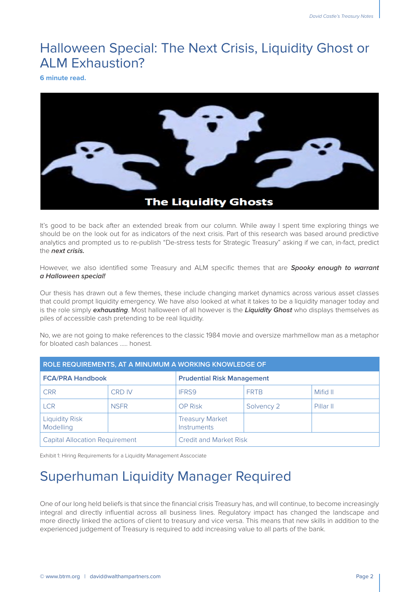#### Halloween Special: The Next Crisis, Liquidity Ghost or ALM Exhaustion?

**6 minute read.**



It's good to be back after an extended break from our column. While away I spent time exploring things we should be on the look out for as indicators of the next crisis. Part of this research was based around predictive analytics and prompted us to re-publish "De-stress tests for Strategic Treasury" asking if we can, in-fact, predict the **next crisis.**

However, we also identified some Treasury and ALM specific themes that are **Spooky enough to warrant a Halloween special!**

Our thesis has drawn out a few themes, these include changing market dynamics across various asset classes that could prompt liquidity emergency. We have also looked at what it takes to be a liquidity manager today and is the role simply **exhausting**. Most halloween of all however is the **Liquidity Ghost** who displays themselves as piles of accessible cash pretending to be real liquidity.

No, we are not going to make references to the classic 1984 movie and oversize marhmellow man as a metaphor for bloated cash balances ….. honest

| ROLE REQUIREMENTS, AT A MINUMUM A WORKING KNOWLEDGE OF |               |                                       |             |           |
|--------------------------------------------------------|---------------|---------------------------------------|-------------|-----------|
| <b>FCA/PRA Handbook</b>                                |               | <b>Prudential Risk Management</b>     |             |           |
| <b>CRR</b>                                             | <b>CRD IV</b> | IFRS9                                 | <b>FRTB</b> | Mifid II  |
| <b>LCR</b>                                             | <b>NSFR</b>   | <b>OP Risk</b>                        | Solvency 2  | Pillar II |
| <b>Liquidity Risk</b><br>Modelling                     |               | <b>Treasury Market</b><br>Instruments |             |           |
| <b>Capital Allocation Requirement</b>                  |               | <b>Credit and Market Risk</b>         |             |           |

Exhibit 1: Hiring Requirements for a Liquidity Management Asscociate

## Superhuman Liquidity Manager Required

One of our long held beliefs is that since the financial crisis Treasury has, and will continue, to become increasingly integral and directly influential across all business lines. Regulatory impact has changed the landscape and more directly linked the actions of client to treasury and vice versa. This means that new skills in addition to the experienced judgement of Treasury is required to add increasing value to all parts of the bank.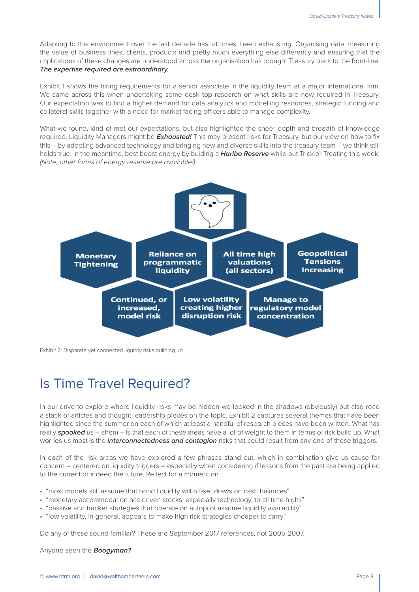Adapting to this environment over the last decade has, at times, been exhausting. Organising data, measuring the value of business lines, clients, products and pretty much everything else differently and ensuring that the implications of these changes are understood across the organisation has brought Treasury back to the front-line. **The expertise required are extraordinary.**

Exhibit 1 shows the hiring requirements for a senior associate in the liquidity team at a major international firm. We came across this when undertaking some desk top research on what skills are now required in Treasury. Our expectation was to find a higher demand for data analytics and modelling resources, strategic funding and collateral skills together with a need for market facing officers able to manage complexity.

What we found, kind of met our expectations, but also highlighted the sheer depth and breadth of knowledge required. Liquidity Managers might be **Exhausted!** This may present risks for Treasury, but our view on how to fix this – by adopting advanced technology and bringing new and diverse skills into the treasury team – we think still holds true. In the meantime, best boost energy by buiding a **Haribo Reserve** while out Trick or Treating this week. *(Note, other forms of energy reserve are available!)*



Exhibit 2: Disparate yet connected liquidty risks building up

## Is Time Travel Required?

In our drive to explore where liquidity risks may be hidden we looked in the shadows (obviously) but also read a stack of articles and thought leadership pieces on the topic. Exhibit 2 captures several themes that have been highlighted since the summer on each of which at least a handful of research pieces have been written. What has really **spooked** us – ahem – is that each of these areas have a lot of weight to them in terms of risk build up. What worries us most is the **interconnectedness and contagion** risks that could result from any one of these triggers.

In each of the risk areas we have explored a few phrases stand out, which in combination give us cause for concern – centered on liquidity triggers – especially when considering if lessons from the past are being applied to the current or indeed the future. Reflect for a moment on ….

- "most models still assume that bond liquidity will off-set draws on cash balances"
- "monetary accommodation has driven stocks, especially technology, to all time highs"
- "passive and tracker strategies that operate on autopilot assume liquidity availability"
- "low volatility, in general, appears to make high risk strategies cheaper to carry"

Do any of these sound familiar? These are September 2017 references, not 2005-2007.

Anyone seen the **Boogyman?**